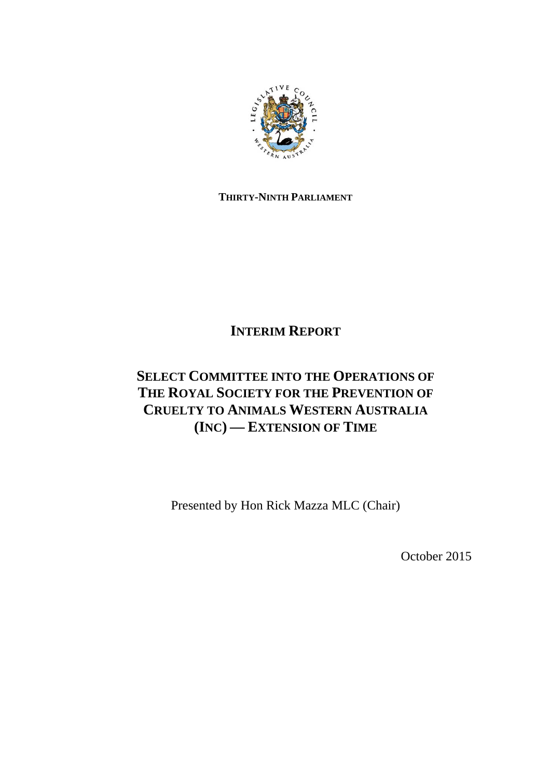

## **THIRTY-NINTH PARLIAMENT**

# **INTERIM REPORT**

# **SELECT COMMITTEE INTO THE OPERATIONS OF THE ROYAL SOCIETY FOR THE PREVENTION OF CRUELTY TO ANIMALS WESTERN AUSTRALIA (INC)** *—* **EXTENSION OF TIME**

Presented by Hon Rick Mazza MLC (Chair)

October 2015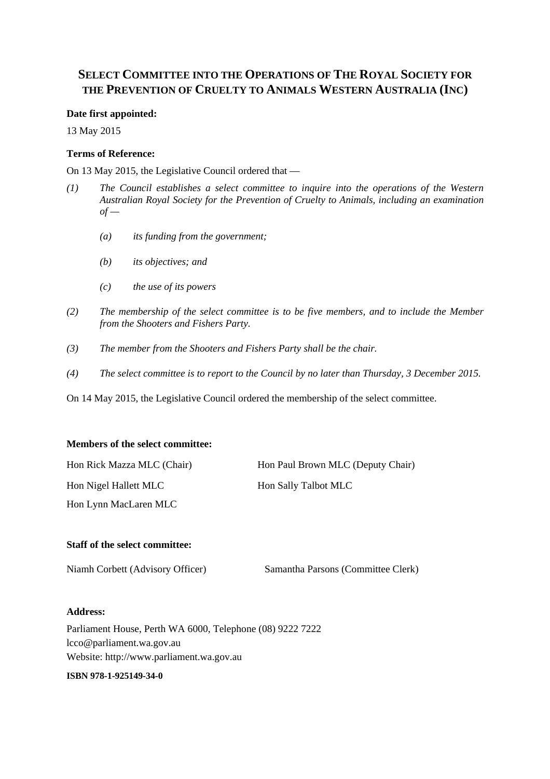## **SELECT COMMITTEE INTO THE OPERATIONS OF THE ROYAL SOCIETY FOR THE PREVENTION OF CRUELTY TO ANIMALS WESTERN AUSTRALIA (INC)**

#### **Date first appointed:**

13 May 2015

### **Terms of Reference:**

On 13 May 2015, the Legislative Council ordered that —

- *(1) The Council establishes a select committee to inquire into the operations of the Western Australian Royal Society for the Prevention of Cruelty to Animals, including an examination*   $of -$ 
	- *(a) its funding from the government;*
	- *(b) its objectives; and*
	- *(c) the use of its powers*
- *(2) The membership of the select committee is to be five members, and to include the Member from the Shooters and Fishers Party.*
- *(3) The member from the Shooters and Fishers Party shall be the chair.*
- *(4) The select committee is to report to the Council by no later than Thursday, 3 December 2015.*

On 14 May 2015, the Legislative Council ordered the membership of the select committee.

#### **Members of the select committee:**

| Hon Rick Mazza MLC (Chair) | Hon Paul Brown MLC (Deputy Chair) |
|----------------------------|-----------------------------------|
| Hon Nigel Hallett MLC      | <b>Hon Sally Talbot MLC</b>       |
| Hon Lynn MacLaren MLC      |                                   |

### **Staff of the select committee:**

Niamh Corbett (Advisory Officer) Samantha Parsons (Committee Clerk)

#### **Address:**

Parliament House, Perth WA 6000, Telephone (08) 9222 7222 lcco@parliament.wa.gov.au Website: http://www.parliament.wa.gov.au

#### **ISBN 978-1-925149-34-0**